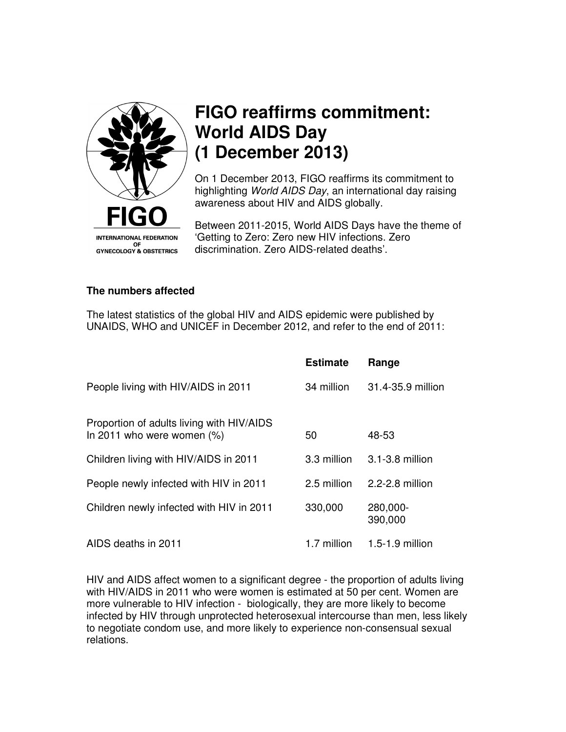

## **FIGO reaffirms commitment: World AIDS Day (1 December 2013)**

On 1 December 2013, FIGO reaffirms its commitment to highlighting World AIDS Day, an international day raising awareness about HIV and AIDS globally.

Between 2011-2015, World AIDS Days have the theme of 'Getting to Zero: Zero new HIV infections. Zero discrimination. Zero AIDS-related deaths'.

## **The numbers affected**

The latest statistics of the global HIV and AIDS epidemic were published by UNAIDS, WHO and UNICEF in December 2012, and refer to the end of 2011:

|                                                                            | <b>Estimate</b> | Range               |
|----------------------------------------------------------------------------|-----------------|---------------------|
| People living with HIV/AIDS in 2011                                        | 34 million      | 31.4-35.9 million   |
| Proportion of adults living with HIV/AIDS<br>In 2011 who were women $(\%)$ | 50              | 48-53               |
| Children living with HIV/AIDS in 2011                                      | 3.3 million     | 3.1-3.8 million     |
| People newly infected with HIV in 2011                                     | 2.5 million     | 2.2-2.8 million     |
| Children newly infected with HIV in 2011                                   | 330,000         | 280,000-<br>390,000 |
| AIDS deaths in 2011                                                        | 1.7 million     | 1.5-1.9 million     |

HIV and AIDS affect women to a significant degree - the proportion of adults living with HIV/AIDS in 2011 who were women is estimated at 50 per cent. Women are more vulnerable to HIV infection - biologically, they are more likely to become infected by HIV through unprotected heterosexual intercourse than men, less likely to negotiate condom use, and more likely to experience non-consensual sexual relations.